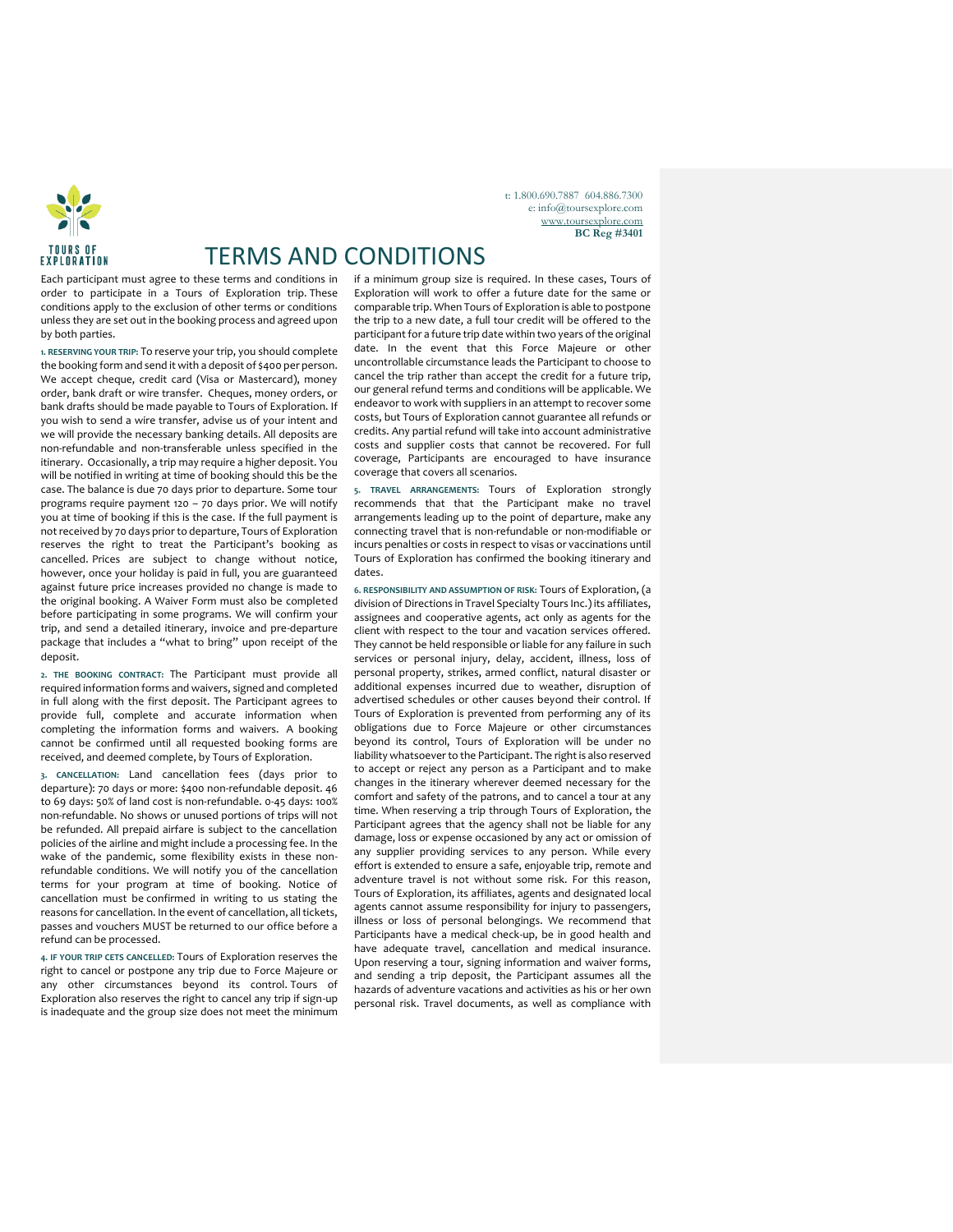

TERMS AND CONDITIONS

Each participant must agree to these terms and conditions in order to participate in a Tours of Exploration trip. These conditions apply to the exclusion of other terms or conditions unless they are set out in the booking process and agreed upon by both parties.

**1. RESERVING YOUR TRIP:** To reserve your trip, you should complete the booking form and send it with a deposit of \$400 per person. We accept cheque, credit card (Visa or Mastercard), money order, bank draft or wire transfer. Cheques, money orders, or bank drafts should be made payable to Tours of Exploration. If you wish to send a wire transfer, advise us of your intent and we will provide the necessary banking details. All deposits are non-refundable and non-transferable unless specified in the itinerary. Occasionally, a trip may require a higher deposit. You will be notified in writing at time of booking should this be the case. The balance is due 70 days prior to departure. Some tour programs require payment 120 – 70 days prior. We will notify you at time of booking if this is the case. If the full payment is not received by 70 days prior to departure, Tours of Exploration reserves the right to treat the Participant's booking as cancelled. Prices are subject to change without notice, however, once your holiday is paid in full, you are guaranteed against future price increases provided no change is made to the original booking. A Waiver Form must also be completed before participating in some programs. We will confirm your trip, and send a detailed itinerary, invoice and pre-departure package that includes a "what to bring" upon receipt of the deposit.

**2. THE BOOKING CONTRACT:** The Participant must provide all required information forms and waivers, signed and completed in full along with the first deposit. The Participant agrees to provide full, complete and accurate information when completing the information forms and waivers. A booking cannot be confirmed until all requested booking forms are received, and deemed complete, by Tours of Exploration.

**3. CANCELLATION:** Land cancellation fees (days prior to departure): 70 days or more: \$400 non-refundable deposit. 46 to 69 days: 50% of land cost is non-refundable. 0-45 days: 100% non-refundable. No shows or unused portions of trips will not be refunded. All prepaid airfare is subject to the cancellation policies of the airline and might include a processing fee. In the wake of the pandemic, some flexibility exists in these nonrefundable conditions. We will notify you of the cancellation terms for your program at time of booking. Notice of cancellation must be confirmed in writing to us stating the reasons for cancellation. In the event of cancellation, all tickets, passes and vouchers MUST be returned to our office before a refund can be processed.

**4. IF YOUR TRIP CETS CANCELLED:** Tours of Exploration reserves the right to cancel or postpone any trip due to Force Majeure or any other circumstances beyond its control. Tours of Exploration also reserves the right to cancel any trip if sign-up is inadequate and the group size does not meet the minimum if a minimum group size is required. In these cases, Tours of Exploration will work to offer a future date for the same or comparable trip. When Tours of Exploration is able to postpone the trip to a new date, a full tour credit will be offered to the participant for a future trip date within two years of the original date. In the event that this Force Majeure or other uncontrollable circumstance leads the Participant to choose to cancel the trip rather than accept the credit for a future trip, our general refund terms and conditions will be applicable. We endeavor to work with suppliers in an attempt to recover some costs, but Tours of Exploration cannot guarantee all refunds or credits. Any partial refund will take into account administrative costs and supplier costs that cannot be recovered. For full coverage, Participants are encouraged to have insurance coverage that covers all scenarios.

t: 1.800.690.7887 604.886.7300 e: info@toursexplore.com [www.toursexplore.com](http://www.toursexplore.com/) **BC Reg #3401**

**5. TRAVEL ARRANGEMENTS:** Tours of Exploration strongly recommends that that the Participant make no travel arrangements leading up to the point of departure, make any connecting travel that is non-refundable or non-modifiable or incurs penalties or costs in respect to visas or vaccinations until Tours of Exploration has confirmed the booking itinerary and dates.

**6. RESPONSIBILITY AND ASSUMPTION OF RISK:** Tours of Exploration, (a division of Directions in Travel Specialty Tours Inc.) its affiliates, assignees and cooperative agents, act only as agents for the client with respect to the tour and vacation services offered. They cannot be held responsible or liable for any failure in such services or personal injury, delay, accident, illness, loss of personal property, strikes, armed conflict, natural disaster or additional expenses incurred due to weather, disruption of advertised schedules or other causes beyond their control. If Tours of Exploration is prevented from performing any of its obligations due to Force Majeure or other circumstances beyond its control, Tours of Exploration will be under no liability whatsoever to the Participant. The right is also reserved to accept or reject any person as a Participant and to make changes in the itinerary wherever deemed necessary for the comfort and safety of the patrons, and to cancel a tour at any time. When reserving a trip through Tours of Exploration, the Participant agrees that the agency shall not be liable for any damage, loss or expense occasioned by any act or omission of any supplier providing services to any person. While every effort is extended to ensure a safe, enjoyable trip, remote and adventure travel is not without some risk. For this reason, Tours of Exploration, its affiliates, agents and designated local agents cannot assume responsibility for injury to passengers, illness or loss of personal belongings. We recommend that Participants have a medical check-up, be in good health and have adequate travel, cancellation and medical insurance. Upon reserving a tour, signing information and waiver forms, and sending a trip deposit, the Participant assumes all the hazards of adventure vacations and activities as his or her own personal risk. Travel documents, as well as compliance with